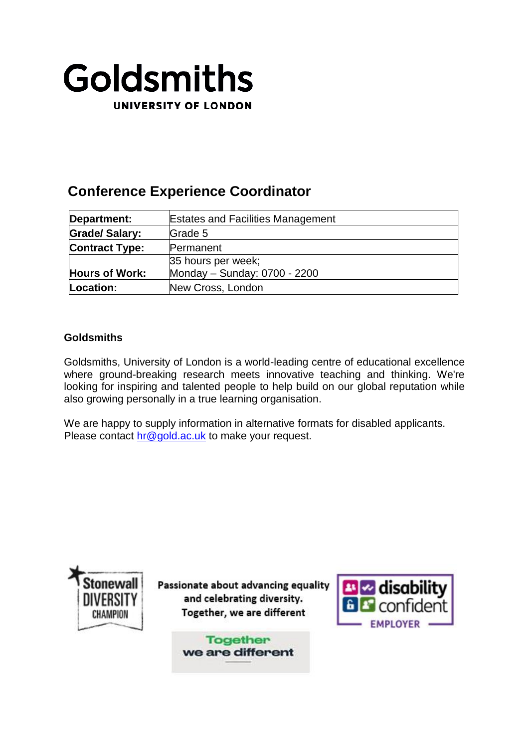

# **Conference Experience Coordinator**

| Department:           | <b>Estates and Facilities Management</b> |
|-----------------------|------------------------------------------|
| <b>Grade/Salary:</b>  | Grade 5                                  |
| <b>Contract Type:</b> | Permanent                                |
|                       | 35 hours per week;                       |
| <b>Hours of Work:</b> | Monday - Sunday: 0700 - 2200             |
| Location:             | New Cross, London                        |

# **Goldsmiths**

Goldsmiths, University of London is a world-leading centre of educational excellence where ground-breaking research meets innovative teaching and thinking. We're looking for inspiring and talented people to help build on our global reputation while also growing personally in a true learning organisation.

We are happy to supply information in alternative formats for disabled applicants. Please contact [hr@gold.ac.uk](mailto:hr@gold.ac.uk) to make your request.



Passionate about advancing equality and celebrating diversity. Together, we are different

> **Together** we are different

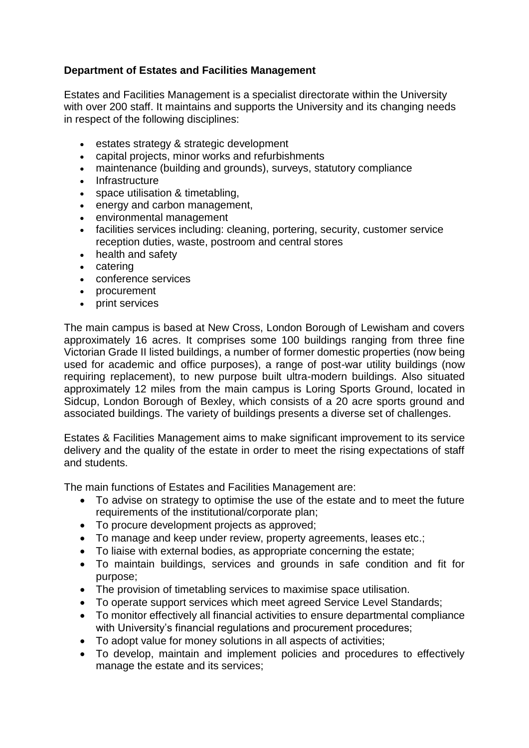# **Department of Estates and Facilities Management**

Estates and Facilities Management is a specialist directorate within the University with over 200 staff. It maintains and supports the University and its changing needs in respect of the following disciplines:

- estates strategy & strategic development
- capital projects, minor works and refurbishments
- maintenance (building and grounds), surveys, statutory compliance
- Infrastructure
- space utilisation & timetabling,
- energy and carbon management,
- environmental management
- facilities services including: cleaning, portering, security, customer service reception duties, waste, postroom and central stores
- health and safety
- catering
- conference services
- procurement
- print services

The main campus is based at New Cross, London Borough of Lewisham and covers approximately 16 acres. It comprises some 100 buildings ranging from three fine Victorian Grade II listed buildings, a number of former domestic properties (now being used for academic and office purposes), a range of post-war utility buildings (now requiring replacement), to new purpose built ultra-modern buildings. Also situated approximately 12 miles from the main campus is Loring Sports Ground, located in Sidcup, London Borough of Bexley, which consists of a 20 acre sports ground and associated buildings. The variety of buildings presents a diverse set of challenges.

Estates & Facilities Management aims to make significant improvement to its service delivery and the quality of the estate in order to meet the rising expectations of staff and students.

The main functions of Estates and Facilities Management are:

- To advise on strategy to optimise the use of the estate and to meet the future requirements of the institutional/corporate plan;
- To procure development projects as approved;
- To manage and keep under review, property agreements, leases etc.;
- To liaise with external bodies, as appropriate concerning the estate;
- To maintain buildings, services and grounds in safe condition and fit for purpose;
- The provision of timetabling services to maximise space utilisation.
- To operate support services which meet agreed Service Level Standards;
- To monitor effectively all financial activities to ensure departmental compliance with University's financial regulations and procurement procedures;
- To adopt value for money solutions in all aspects of activities;
- To develop, maintain and implement policies and procedures to effectively manage the estate and its services;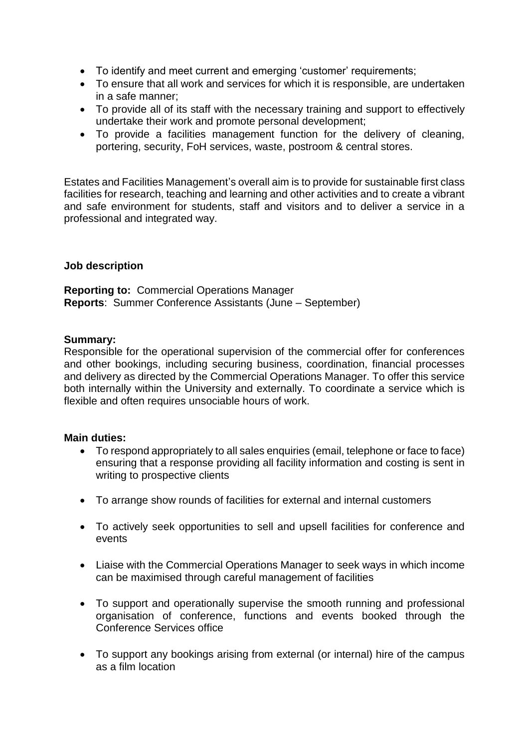- To identify and meet current and emerging 'customer' requirements;
- To ensure that all work and services for which it is responsible, are undertaken in a safe manner;
- To provide all of its staff with the necessary training and support to effectively undertake their work and promote personal development;
- To provide a facilities management function for the delivery of cleaning, portering, security, FoH services, waste, postroom & central stores.

Estates and Facilities Management's overall aim is to provide for sustainable first class facilities for research, teaching and learning and other activities and to create a vibrant and safe environment for students, staff and visitors and to deliver a service in a professional and integrated way.

## **Job description**

**Reporting to:** Commercial Operations Manager **Reports**: Summer Conference Assistants (June – September)

#### **Summary:**

Responsible for the operational supervision of the commercial offer for conferences and other bookings, including securing business, coordination, financial processes and delivery as directed by the Commercial Operations Manager. To offer this service both internally within the University and externally. To coordinate a service which is flexible and often requires unsociable hours of work.

#### **Main duties:**

- To respond appropriately to all sales enquiries (email, telephone or face to face) ensuring that a response providing all facility information and costing is sent in writing to prospective clients
- To arrange show rounds of facilities for external and internal customers
- To actively seek opportunities to sell and upsell facilities for conference and events
- Liaise with the Commercial Operations Manager to seek ways in which income can be maximised through careful management of facilities
- To support and operationally supervise the smooth running and professional organisation of conference, functions and events booked through the Conference Services office
- To support any bookings arising from external (or internal) hire of the campus as a film location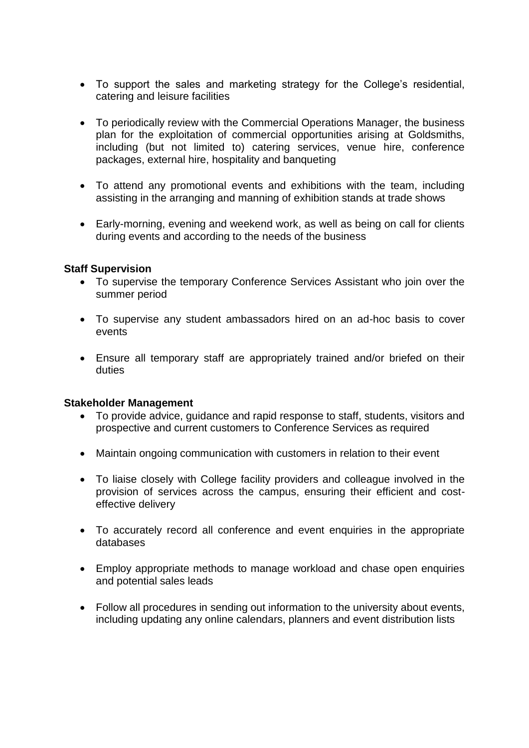- To support the sales and marketing strategy for the College's residential, catering and leisure facilities
- To periodically review with the Commercial Operations Manager, the business plan for the exploitation of commercial opportunities arising at Goldsmiths, including (but not limited to) catering services, venue hire, conference packages, external hire, hospitality and banqueting
- To attend any promotional events and exhibitions with the team, including assisting in the arranging and manning of exhibition stands at trade shows
- Early-morning, evening and weekend work, as well as being on call for clients during events and according to the needs of the business

#### **Staff Supervision**

- To supervise the temporary Conference Services Assistant who join over the summer period
- To supervise any student ambassadors hired on an ad-hoc basis to cover events
- Ensure all temporary staff are appropriately trained and/or briefed on their duties

#### **Stakeholder Management**

- To provide advice, guidance and rapid response to staff, students, visitors and prospective and current customers to Conference Services as required
- Maintain ongoing communication with customers in relation to their event
- To liaise closely with College facility providers and colleague involved in the provision of services across the campus, ensuring their efficient and costeffective delivery
- To accurately record all conference and event enquiries in the appropriate databases
- Employ appropriate methods to manage workload and chase open enquiries and potential sales leads
- Follow all procedures in sending out information to the university about events, including updating any online calendars, planners and event distribution lists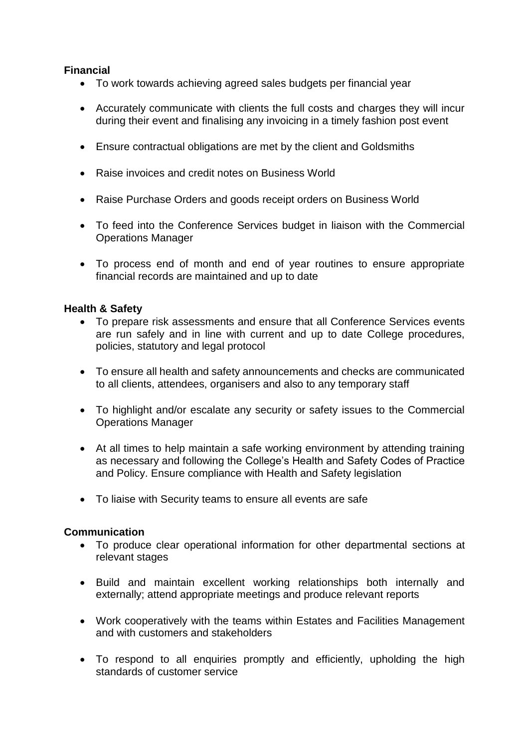# **Financial**

- To work towards achieving agreed sales budgets per financial year
- Accurately communicate with clients the full costs and charges they will incur during their event and finalising any invoicing in a timely fashion post event
- Ensure contractual obligations are met by the client and Goldsmiths
- Raise invoices and credit notes on Business World
- Raise Purchase Orders and goods receipt orders on Business World
- To feed into the Conference Services budget in liaison with the Commercial Operations Manager
- To process end of month and end of year routines to ensure appropriate financial records are maintained and up to date

## **Health & Safety**

- To prepare risk assessments and ensure that all Conference Services events are run safely and in line with current and up to date College procedures, policies, statutory and legal protocol
- To ensure all health and safety announcements and checks are communicated to all clients, attendees, organisers and also to any temporary staff
- To highlight and/or escalate any security or safety issues to the Commercial Operations Manager
- At all times to help maintain a safe working environment by attending training as necessary and following the College's Health and Safety Codes of Practice and Policy. Ensure compliance with Health and Safety legislation
- To liaise with Security teams to ensure all events are safe

## **Communication**

- To produce clear operational information for other departmental sections at relevant stages
- Build and maintain excellent working relationships both internally and externally; attend appropriate meetings and produce relevant reports
- Work cooperatively with the teams within Estates and Facilities Management and with customers and stakeholders
- To respond to all enquiries promptly and efficiently, upholding the high standards of customer service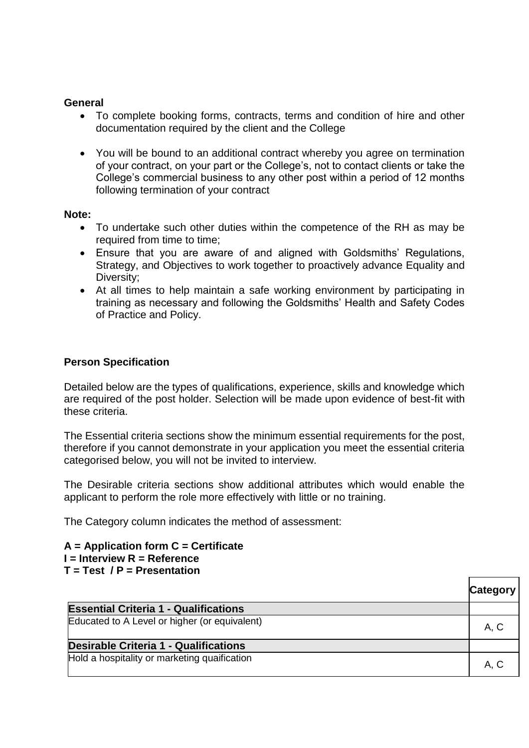## **General**

- To complete booking forms, contracts, terms and condition of hire and other documentation required by the client and the College
- You will be bound to an additional contract whereby you agree on termination of your contract, on your part or the College's, not to contact clients or take the College's commercial business to any other post within a period of 12 months following termination of your contract

## **Note:**

- To undertake such other duties within the competence of the RH as may be required from time to time;
- Ensure that you are aware of and aligned with Goldsmiths' Regulations, Strategy, and Objectives to work together to proactively advance Equality and Diversity;
- At all times to help maintain a safe working environment by participating in training as necessary and following the Goldsmiths' Health and Safety Codes of Practice and Policy.

# **Person Specification**

Detailed below are the types of qualifications, experience, skills and knowledge which are required of the post holder. Selection will be made upon evidence of best-fit with these criteria.

The Essential criteria sections show the minimum essential requirements for the post, therefore if you cannot demonstrate in your application you meet the essential criteria categorised below, you will not be invited to interview.

The Desirable criteria sections show additional attributes which would enable the applicant to perform the role more effectively with little or no training.

The Category column indicates the method of assessment:

#### **A = Application form C = Certificate I = Interview R = Reference T = Test / P = Presentation**

|                                               | <b>Category</b> |
|-----------------------------------------------|-----------------|
| <b>Essential Criteria 1 - Qualifications</b>  |                 |
| Educated to A Level or higher (or equivalent) | A, C            |
| Desirable Criteria 1 - Qualifications         |                 |
| Hold a hospitality or marketing quaification  | A, C            |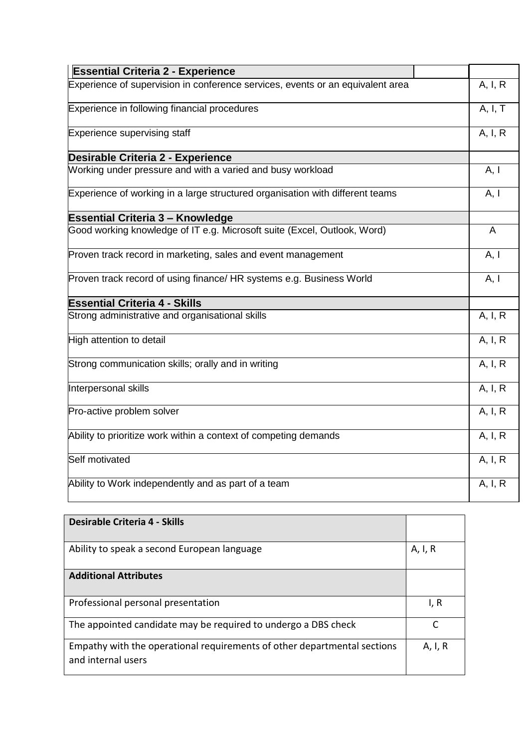| <b>Essential Criteria 2 - Experience</b>                                       |         |  |
|--------------------------------------------------------------------------------|---------|--|
| Experience of supervision in conference services, events or an equivalent area |         |  |
| Experience in following financial procedures                                   | A, I, T |  |
| Experience supervising staff                                                   |         |  |
| Desirable Criteria 2 - Experience                                              |         |  |
| Working under pressure and with a varied and busy workload                     | A, I    |  |
| Experience of working in a large structured organisation with different teams  |         |  |
| <b>Essential Criteria 3 - Knowledge</b>                                        |         |  |
| Good working knowledge of IT e.g. Microsoft suite (Excel, Outlook, Word)       | A       |  |
| Proven track record in marketing, sales and event management                   | A, I    |  |
| Proven track record of using finance/ HR systems e.g. Business World           | A, I    |  |
| <b>Essential Criteria 4 - Skills</b>                                           |         |  |
| Strong administrative and organisational skills                                | A, I, R |  |
| High attention to detail                                                       | A, I, R |  |
| Strong communication skills; orally and in writing                             | A, I, R |  |
| Interpersonal skills                                                           | A, I, R |  |
| Pro-active problem solver                                                      | A, I, R |  |
| Ability to prioritize work within a context of competing demands               |         |  |
| Self motivated                                                                 |         |  |
| Ability to Work independently and as part of a team                            | A, I, R |  |
|                                                                                |         |  |

| Desirable Criteria 4 - Skills                                                                  |         |
|------------------------------------------------------------------------------------------------|---------|
| Ability to speak a second European language                                                    | A, I, R |
| <b>Additional Attributes</b>                                                                   |         |
| Professional personal presentation                                                             | I, R    |
| The appointed candidate may be required to undergo a DBS check                                 |         |
| Empathy with the operational requirements of other departmental sections<br>and internal users |         |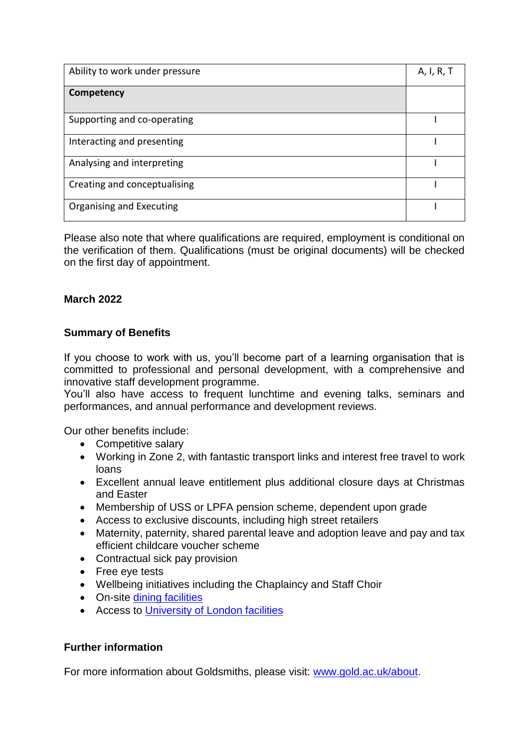| Ability to work under pressure |  |
|--------------------------------|--|
| Competency                     |  |
| Supporting and co-operating    |  |
| Interacting and presenting     |  |
| Analysing and interpreting     |  |
| Creating and conceptualising   |  |
| Organising and Executing       |  |

Please also note that where qualifications are required, employment is conditional on the verification of them. Qualifications (must be original documents) will be checked on the first day of appointment.

## **March 2022**

## **Summary of Benefits**

If you choose to work with us, you'll become part of a learning organisation that is committed to professional and personal development, with a comprehensive and innovative staff development programme.

You'll also have access to frequent lunchtime and evening talks, seminars and performances, and annual performance and development reviews.

Our other benefits include:

- Competitive salary
- Working in Zone 2, with fantastic transport links and interest free travel to work loans
- Excellent annual leave entitlement plus additional closure days at Christmas and Easter
- Membership of USS or LPFA pension scheme, dependent upon grade
- Access to exclusive discounts, including high street retailers
- Maternity, paternity, shared parental leave and adoption leave and pay and tax efficient childcare voucher scheme
- Contractual sick pay provision
- Free eve tests
- Wellbeing initiatives including the Chaplaincy and Staff Choir
- On-site dining facilities
- Access to [University of London facilities](http://senatehouselibrary.ac.uk/membership/university-of-london/)

## **Further information**

For more information about Goldsmiths, please visit: [www.gold.ac.uk/about.](file:///C:/Users/akhan055/AppData/Local/Microsoft/Windows/Temporary%20Internet%20Files/Content.Outlook/Job%20Descriptions/Job%20Descriptions/RCCS/www.gold.ac.uk/about)